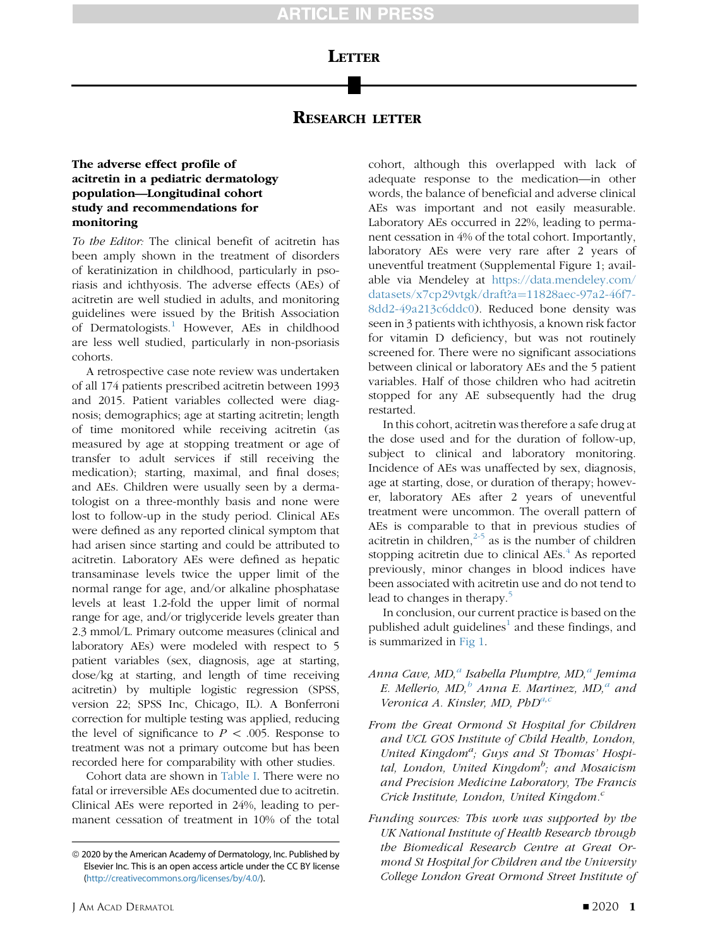# **LETTER**

### RESEARCH LETTER

### The adverse effect profile of acitretin in a pediatric dermatology population—Longitudinal cohort study and recommendations for monitoring

To the Editor: The clinical benefit of acitretin has been amply shown in the treatment of disorders of keratinization in childhood, particularly in psoriasis and ichthyosis. The adverse effects (AEs) of acitretin are well studied in adults, and monitoring guidelines were issued by the British Association of Dermatologists.<sup>[1](#page-2-0)</sup> However, AEs in childhood are less well studied, particularly in non-psoriasis cohorts.

A retrospective case note review was undertaken of all 174 patients prescribed acitretin between 1993 and 2015. Patient variables collected were diagnosis; demographics; age at starting acitretin; length of time monitored while receiving acitretin (as measured by age at stopping treatment or age of transfer to adult services if still receiving the medication); starting, maximal, and final doses; and AEs. Children were usually seen by a dermatologist on a three-monthly basis and none were lost to follow-up in the study period. Clinical AEs were defined as any reported clinical symptom that had arisen since starting and could be attributed to acitretin. Laboratory AEs were defined as hepatic transaminase levels twice the upper limit of the normal range for age, and/or alkaline phosphatase levels at least 1.2-fold the upper limit of normal range for age, and/or triglyceride levels greater than 2.3 mmol/L. Primary outcome measures (clinical and laboratory AEs) were modeled with respect to 5 patient variables (sex, diagnosis, age at starting, dose/kg at starting, and length of time receiving acitretin) by multiple logistic regression (SPSS, version 22; SPSS Inc, Chicago, IL). A Bonferroni correction for multiple testing was applied, reducing the level of significance to  $P \, < .005$ . Response to treatment was not a primary outcome but has been recorded here for comparability with other studies.

Cohort data are shown in [Table I](#page-1-0). There were no fatal or irreversible AEs documented due to acitretin. Clinical AEs were reported in 24%, leading to permanent cessation of treatment in 10% of the total

cohort, although this overlapped with lack of adequate response to the medication—in other words, the balance of beneficial and adverse clinical AEs was important and not easily measurable. Laboratory AEs occurred in 22%, leading to permanent cessation in 4% of the total cohort. Importantly, laboratory AEs were very rare after 2 years of uneventful treatment (Supplemental Figure 1; available via Mendeley at [https://data.mendeley.com/](https://data.mendeley.com/datasets/x7cp29vtgk/draft?a=11828aec-97a2-46f7-8dd2-49a213c6ddc0) [datasets/x7cp29vtgk/draft?a](https://data.mendeley.com/datasets/x7cp29vtgk/draft?a=11828aec-97a2-46f7-8dd2-49a213c6ddc0)=[11828aec-97a2-46f7-](https://data.mendeley.com/datasets/x7cp29vtgk/draft?a=11828aec-97a2-46f7-8dd2-49a213c6ddc0) [8dd2-49a213c6ddc0](https://data.mendeley.com/datasets/x7cp29vtgk/draft?a=11828aec-97a2-46f7-8dd2-49a213c6ddc0)). Reduced bone density was seen in 3 patients with ichthyosis, a known risk factor for vitamin D deficiency, but was not routinely screened for. There were no significant associations between clinical or laboratory AEs and the 5 patient variables. Half of those children who had acitretin stopped for any AE subsequently had the drug restarted.

In this cohort, acitretin was therefore a safe drug at the dose used and for the duration of follow-up, subject to clinical and laboratory monitoring. Incidence of AEs was unaffected by sex, diagnosis, age at starting, dose, or duration of therapy; however, laboratory AEs after 2 years of uneventful treatment were uncommon. The overall pattern of AEs is comparable to that in previous studies of acitretin in children, $2-5$  as is the number of children stopping acitretin due to clinical  $\text{AEs}$ .<sup>[4](#page-2-2)</sup> As reported previously, minor changes in blood indices have been associated with acitretin use and do not tend to lead to changes in therapy.<sup>[5](#page-2-3)</sup>

In conclusion, our current practice is based on the published adult guidelines<sup> $\perp$ </sup> and these findings, and is summarized in [Fig 1](#page-2-4).

- Anna Cave, MD,<sup>a</sup> Isabella Plumptre, MD,<sup>a</sup> Jemima E. Mellerio,  $MD<sub>i</sub><sup>b</sup>$  Anna E. Martinez,  $MD<sub>i</sub><sup>a</sup>$  and Veronica A. Kinsler, MD,  $PbD^{a,c}$
- From the Great Ormond St Hospital for Children and UCL GOS Institute of Child Health, London, United Kingdom<sup>a</sup>; Guys and St Thomas' Hospital, London, United Kingdom<sup>b</sup>; and Mosaicism and Precision Medicine Laboratory, The Francis Crick Institute, London, United Kingdom. $\degree$
- Funding sources: This work was supported by the UK National Institute of Health Research through the Biomedical Research Centre at Great Ormond St Hospital for Children and the University College London Great Ormond Street Institute of

<sup>&</sup>lt;sup>©</sup> 2020 by the American Academy of Dermatology, Inc. Published by Elsevier Inc. This is an open access article under the CC BY license [\(http://creativecommons.org/licenses/by/4.0/](http://creativecommons.org/licenses/by/4.0/)).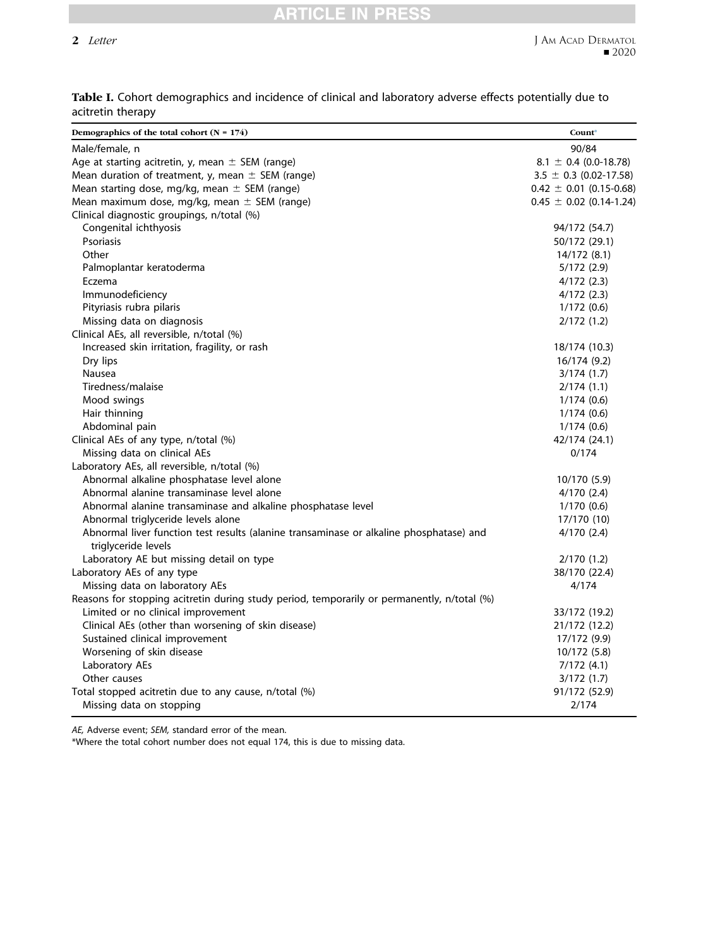## RTICLE IN PRES

#### 2 Letter

| Demographics of the total cohort $(N = 174)$                                                                   | Count*                      |
|----------------------------------------------------------------------------------------------------------------|-----------------------------|
| Male/female, n                                                                                                 | 90/84                       |
| Age at starting acitretin, y, mean $\pm$ SEM (range)                                                           | $8.1 \pm 0.4$ (0.0-18.78)   |
| Mean duration of treatment, y, mean $\pm$ SEM (range)                                                          | $3.5 \pm 0.3$ (0.02-17.58)  |
| Mean starting dose, mg/kg, mean $\pm$ SEM (range)                                                              | $0.42 \pm 0.01$ (0.15-0.68) |
| Mean maximum dose, mg/kg, mean $\pm$ SEM (range)                                                               | $0.45 \pm 0.02$ (0.14-1.24) |
| Clinical diagnostic groupings, n/total (%)                                                                     |                             |
| Congenital ichthyosis                                                                                          | 94/172 (54.7)               |
| Psoriasis                                                                                                      | 50/172 (29.1)               |
| Other                                                                                                          | 14/172 (8.1)                |
| Palmoplantar keratoderma                                                                                       | 5/172(2.9)                  |
| Eczema                                                                                                         | 4/172(2.3)                  |
| Immunodeficiency                                                                                               | 4/172(2.3)                  |
| Pityriasis rubra pilaris                                                                                       | 1/172(0.6)                  |
| Missing data on diagnosis                                                                                      | 2/172(1.2)                  |
| Clinical AEs, all reversible, n/total (%)                                                                      |                             |
| Increased skin irritation, fragility, or rash                                                                  | 18/174 (10.3)               |
| Dry lips                                                                                                       | 16/174 (9.2)                |
| Nausea                                                                                                         | 3/174(1.7)                  |
| Tiredness/malaise                                                                                              | 2/174(1.1)                  |
| Mood swings                                                                                                    | 1/174(0.6)                  |
| Hair thinning                                                                                                  | 1/174(0.6)                  |
| Abdominal pain                                                                                                 | 1/174(0.6)                  |
| Clinical AEs of any type, n/total (%)                                                                          | 42/174 (24.1)               |
| Missing data on clinical AEs                                                                                   | 0/174                       |
| Laboratory AEs, all reversible, n/total (%)                                                                    |                             |
| Abnormal alkaline phosphatase level alone                                                                      | 10/170 (5.9)                |
| Abnormal alanine transaminase level alone                                                                      | 4/170(2.4)                  |
| Abnormal alanine transaminase and alkaline phosphatase level                                                   | 1/170(0.6)                  |
| Abnormal triglyceride levels alone                                                                             | 17/170 (10)                 |
| Abnormal liver function test results (alanine transaminase or alkaline phosphatase) and<br>triglyceride levels | 4/170(2.4)                  |
| Laboratory AE but missing detail on type                                                                       | 2/170(1.2)                  |
| Laboratory AEs of any type                                                                                     | 38/170 (22.4)               |
| Missing data on laboratory AEs                                                                                 | 4/174                       |
| Reasons for stopping acitretin during study period, temporarily or permanently, n/total (%)                    |                             |
| Limited or no clinical improvement                                                                             | 33/172 (19.2)               |
| Clinical AEs (other than worsening of skin disease)                                                            | 21/172 (12.2)               |
| Sustained clinical improvement                                                                                 | 17/172 (9.9)                |
| Worsening of skin disease                                                                                      | 10/172 (5.8)                |
| Laboratory AEs                                                                                                 | 7/172(4.1)                  |
| Other causes                                                                                                   | 3/172(1.7)                  |
| Total stopped acitretin due to any cause, n/total (%)                                                          | 91/172 (52.9)               |
| Missing data on stopping                                                                                       | 2/174                       |

<span id="page-1-0"></span>Table I. Cohort demographics and incidence of clinical and laboratory adverse effects potentially due to acitretin therapy

AE, Adverse event; SEM, standard error of the mean.

\*Where the total cohort number does not equal 174, this is due to missing data.